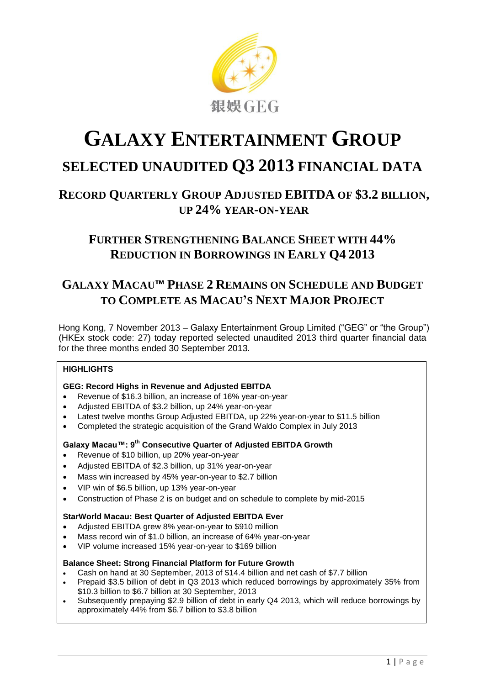

# **GALAXY ENTERTAINMENT GROUP SELECTED UNAUDITED Q3 2013 FINANCIAL DATA**

# **RECORD QUARTERLY GROUP ADJUSTED EBITDA OF \$3.2 BILLION, UP 24% YEAR-ON-YEAR**

## **FURTHER STRENGTHENING BALANCE SHEET WITH 44% REDUCTION IN BORROWINGS IN EARLY Q4 2013**

# **GALAXY MACAU™ PHASE 2 REMAINS ON SCHEDULE AND BUDGET TO COMPLETE AS MACAU'S NEXT MAJOR PROJECT**

Hong Kong, 7 November 2013 – Galaxy Entertainment Group Limited ("GEG" or "the Group") (HKEx stock code: 27) today reported selected unaudited 2013 third quarter financial data for the three months ended 30 September 2013.

#### **HIGHLIGHTS**

#### **GEG: Record Highs in Revenue and Adjusted EBITDA**

- Revenue of \$16.3 billion, an increase of 16% year-on-year
- Adjusted EBITDA of \$3.2 billion, up 24% year-on-year
- Latest twelve months Group Adjusted EBITDA, up 22% year-on-year to \$11.5 billion
- Completed the strategic acquisition of the Grand Waldo Complex in July 2013

#### **Galaxy Macau™: 9 th Consecutive Quarter of Adjusted EBITDA Growth**

- Revenue of \$10 billion, up 20% year-on-year
- Adjusted EBITDA of \$2.3 billion, up 31% year-on-year
- Mass win increased by 45% year-on-year to \$2.7 billion
- VIP win of \$6.5 billion, up 13% year-on-year
- Construction of Phase 2 is on budget and on schedule to complete by mid-2015

#### **StarWorld Macau: Best Quarter of Adjusted EBITDA Ever**

- Adjusted EBITDA grew 8% year-on-year to \$910 million
- Mass record win of \$1.0 billion, an increase of 64% year-on-year
- VIP volume increased 15% year-on-year to \$169 billion

#### **Balance Sheet: Strong Financial Platform for Future Growth**

- Cash on hand at 30 September, 2013 of \$14.4 billion and net cash of \$7.7 billion
- Prepaid \$3.5 billion of debt in Q3 2013 which reduced borrowings by approximately 35% from \$10.3 billion to \$6.7 billion at 30 September, 2013
- Subsequently prepaying \$2.9 billion of debt in early Q4 2013, which will reduce borrowings by approximately 44% from \$6.7 billion to \$3.8 billion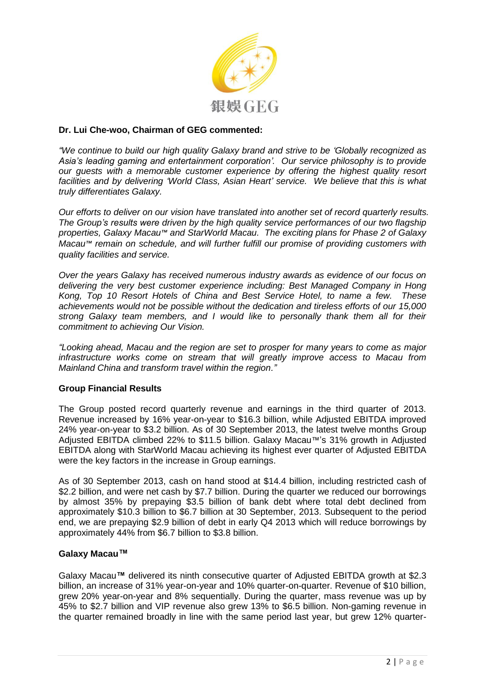

#### **Dr. Lui Che-woo, Chairman of GEG commented:**

*"We continue to build our high quality Galaxy brand and strive to be 'Globally recognized as Asia's leading gaming and entertainment corporation'. Our service philosophy is to provide our guests with a memorable customer experience by offering the highest quality resort facilities and by delivering 'World Class, Asian Heart' service. We believe that this is what truly differentiates Galaxy.*

*Our efforts to deliver on our vision have translated into another set of record quarterly results. The Group's results were driven by the high quality service performances of our two flagship properties, Galaxy Macau™ and StarWorld Macau. The exciting plans for Phase 2 of Galaxy Macau™ remain on schedule, and will further fulfill our promise of providing customers with quality facilities and service.*

*Over the years Galaxy has received numerous industry awards as evidence of our focus on delivering the very best customer experience including: Best Managed Company in Hong Kong, Top 10 Resort Hotels of China and Best Service Hotel, to name a few. These achievements would not be possible without the dedication and tireless efforts of our 15,000 strong Galaxy team members, and I would like to personally thank them all for their commitment to achieving Our Vision.*

*"Looking ahead, Macau and the region are set to prosper for many years to come as major infrastructure works come on stream that will greatly improve access to Macau from Mainland China and transform travel within the region."*

#### **Group Financial Results**

The Group posted record quarterly revenue and earnings in the third quarter of 2013. Revenue increased by 16% year-on-year to \$16.3 billion, while Adjusted EBITDA improved 24% year-on-year to \$3.2 billion. As of 30 September 2013, the latest twelve months Group Adjusted EBITDA climbed 22% to \$11.5 billion. Galaxy Macau™'s 31% growth in Adjusted EBITDA along with StarWorld Macau achieving its highest ever quarter of Adjusted EBITDA were the key factors in the increase in Group earnings.

As of 30 September 2013, cash on hand stood at \$14.4 billion, including restricted cash of \$2.2 billion, and were net cash by \$7.7 billion. During the quarter we reduced our borrowings by almost 35% by prepaying \$3.5 billion of bank debt where total debt declined from approximately \$10.3 billion to \$6.7 billion at 30 September, 2013. Subsequent to the period end, we are prepaying \$2.9 billion of debt in early Q4 2013 which will reduce borrowings by approximately 44% from \$6.7 billion to \$3.8 billion.

#### **Galaxy Macau™**

Galaxy Macau**™** delivered its ninth consecutive quarter of Adjusted EBITDA growth at \$2.3 billion, an increase of 31% year-on-year and 10% quarter-on-quarter. Revenue of \$10 billion, grew 20% year-on-year and 8% sequentially. During the quarter, mass revenue was up by 45% to \$2.7 billion and VIP revenue also grew 13% to \$6.5 billion. Non-gaming revenue in the quarter remained broadly in line with the same period last year, but grew 12% quarter-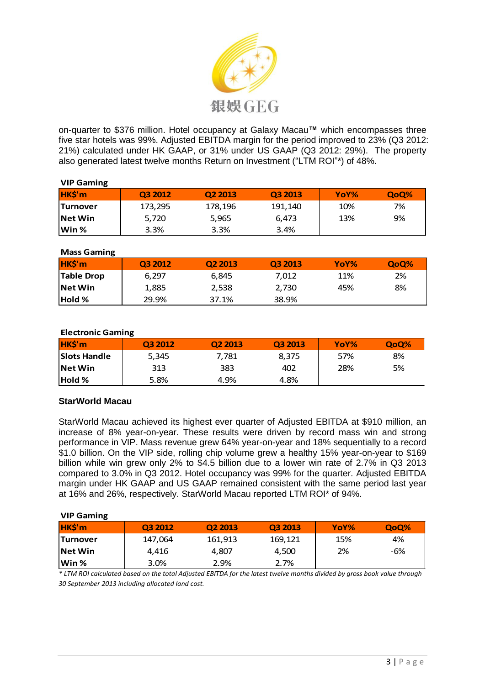

on-quarter to \$376 million. Hotel occupancy at Galaxy Macau**™** which encompasses three five star hotels was 99%. Adjusted EBITDA margin for the period improved to 23% (Q3 2012: 21%) calculated under HK GAAP, or 31% under US GAAP (Q3 2012: 29%). The property also generated latest twelve months Return on Investment ("LTM ROI"\*) of 48%.

#### **VIP Gaming**

| HK\$'m           | Q3 2012 | O <sub>2</sub> 2013 | Q3 2013 | YoY% | QoQ% |
|------------------|---------|---------------------|---------|------|------|
| <b>ITurnover</b> | 173,295 | 178,196             | 191,140 | 10%  | 7%   |
| <b>INet Win</b>  | 5,720   | 5,965               | 6,473   | 13%  | 9%   |
| lWin %           | 3.3%    | 3.3%                | 3.4%    |      |      |

#### **Mass Gaming**

| HK\$'m            | Q3 2012 | Q <sub>2</sub> 2013 | Q3 2013 | YoY% | QoQ% |
|-------------------|---------|---------------------|---------|------|------|
| <b>Table Drop</b> | 6.297   | 6,845               | 7,012   | 11%  | 2%   |
| <b>Net Win</b>    | 1,885   | 2,538               | 2,730   | 45%  | 8%   |
| <b>Hold</b> %     | 29.9%   | 37.1%               | 38.9%   |      |      |

#### **Electronic Gaming**

| HK\$'m              | 03 2012 | Q <sub>2</sub> 2013 | O <sub>3</sub> 2013 | YoY% | QoQ% |
|---------------------|---------|---------------------|---------------------|------|------|
| <b>Slots Handle</b> | 5,345   | 7.781               | 8.375               | 57%  | 8%   |
| <b>INet Win</b>     | 313     | 383                 | 402                 | 28%  | 5%   |
| <b>Hold %</b>       | 5.8%    | 4.9%                | 4.8%                |      |      |

#### **StarWorld Macau**

StarWorld Macau achieved its highest ever quarter of Adjusted EBITDA at \$910 million, an increase of 8% year-on-year. These results were driven by record mass win and strong performance in VIP. Mass revenue grew 64% year-on-year and 18% sequentially to a record \$1.0 billion. On the VIP side, rolling chip volume grew a healthy 15% year-on-year to \$169 billion while win grew only 2% to \$4.5 billion due to a lower win rate of 2.7% in Q3 2013 compared to 3.0% in Q3 2012. Hotel occupancy was 99% for the quarter. Adjusted EBITDA margin under HK GAAP and US GAAP remained consistent with the same period last year at 16% and 26%, respectively. StarWorld Macau reported LTM ROI\* of 94%.

#### **VIP Gaming**

| HK\$'m           | Q3 2012 | Q <sub>2</sub> 2013 | Q3 2013 | YoY% | QoQ% |
|------------------|---------|---------------------|---------|------|------|
| <b>ITurnover</b> | 147,064 | 161,913             | 169,121 | 15%  | 4%   |
| <b>INet Win</b>  | 4.416   | 4.807               | 4,500   | 2%   | -6%  |
| lWin %           | 3.0%    | 2.9%                | 2.7%    |      |      |

*\* LTM ROI calculated based on the total Adjusted EBITDA for the latest twelve months divided by gross book value through 30 September 2013 including allocated land cost.*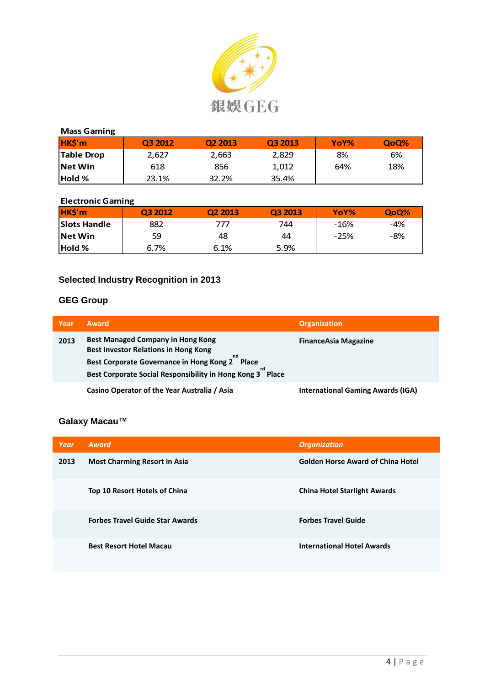

| <b>Mass Gaming</b> |         |         |         |      |      |
|--------------------|---------|---------|---------|------|------|
| HK\$'m             | Q3 2012 | Q2 2013 | Q3 2013 | YoY% | QoQ% |
| Table Drop         | 2,627   | 2,663   | 2,829   | 8%   | 6%   |
| <b>Net Win</b>     | 618     | 856     | 1,012   | 64%  | 18%  |
| <b>Hold %</b>      | 23.1%   | 32.2%   | 35.4%   |      |      |

### **Electronic Gaming**

| HK\$'m              | Q3 2012 | Q <sub>2</sub> 2013 | Q3 2013 | YoY%   | QoQ% |
|---------------------|---------|---------------------|---------|--------|------|
| <b>Slots Handle</b> | 882     | 777                 | 744     | -16%   | -4%  |
| <b>Net Win</b>      | 59      | 48                  | 44      | $-25%$ | -8%  |
| <b>Hold %</b>       | 6.7%    | 6.1%                | 5.9%    |        |      |

## **Selected Industry Recognition in 2013**

## **GEG Group**

| Year | <b>Award</b>                                                                                                                                                                                           | <b>Organization</b>                      |
|------|--------------------------------------------------------------------------------------------------------------------------------------------------------------------------------------------------------|------------------------------------------|
| 2013 | <b>Best Managed Company in Hong Kong</b><br><b>Best Investor Relations in Hong Kong</b><br>Best Corporate Governance in Hong Kong 2 Place<br>Best Corporate Social Responsibility in Hong Kong 3 Place | <b>FinanceAsia Magazine</b>              |
|      | Casino Operator of the Year Australia / Asia                                                                                                                                                           | <b>International Gaming Awards (IGA)</b> |

## **Galaxy Macau™**

| Year | Award                                  | <b>Organization</b>                      |
|------|----------------------------------------|------------------------------------------|
| 2013 | <b>Most Charming Resort in Asia</b>    | <b>Golden Horse Award of China Hotel</b> |
|      | Top 10 Resort Hotels of China          | <b>China Hotel Starlight Awards</b>      |
|      | <b>Forbes Travel Guide Star Awards</b> | <b>Forbes Travel Guide</b>               |
|      | <b>Best Resort Hotel Macau</b>         | <b>International Hotel Awards</b>        |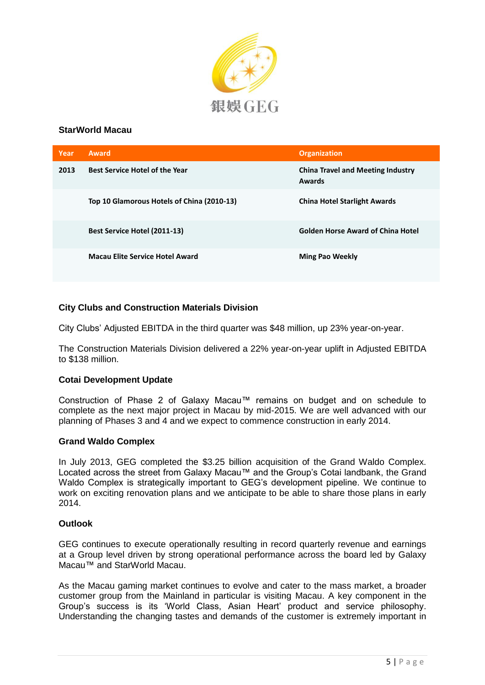

#### **StarWorld Macau**

| Year | <b>Award</b>                               | <b>Organization</b>                                |
|------|--------------------------------------------|----------------------------------------------------|
| 2013 | <b>Best Service Hotel of the Year</b>      | <b>China Travel and Meeting Industry</b><br>Awards |
|      | Top 10 Glamorous Hotels of China (2010-13) | <b>China Hotel Starlight Awards</b>                |
|      | <b>Best Service Hotel (2011-13)</b>        | <b>Golden Horse Award of China Hotel</b>           |
|      | <b>Macau Elite Service Hotel Award</b>     | <b>Ming Pao Weekly</b>                             |

#### **City Clubs and Construction Materials Division**

City Clubs' Adjusted EBITDA in the third quarter was \$48 million, up 23% year-on-year.

The Construction Materials Division delivered a 22% year-on-year uplift in Adjusted EBITDA to \$138 million.

#### **Cotai Development Update**

Construction of Phase 2 of Galaxy Macau™ remains on budget and on schedule to complete as the next major project in Macau by mid-2015. We are well advanced with our planning of Phases 3 and 4 and we expect to commence construction in early 2014.

#### **Grand Waldo Complex**

In July 2013, GEG completed the \$3.25 billion acquisition of the Grand Waldo Complex. Located across the street from Galaxy Macau™ and the Group's Cotai landbank, the Grand Waldo Complex is strategically important to GEG's development pipeline. We continue to work on exciting renovation plans and we anticipate to be able to share those plans in early 2014.

#### **Outlook**

GEG continues to execute operationally resulting in record quarterly revenue and earnings at a Group level driven by strong operational performance across the board led by Galaxy Macau™ and StarWorld Macau.

As the Macau gaming market continues to evolve and cater to the mass market, a broader customer group from the Mainland in particular is visiting Macau. A key component in the Group's success is its 'World Class, Asian Heart' product and service philosophy. Understanding the changing tastes and demands of the customer is extremely important in